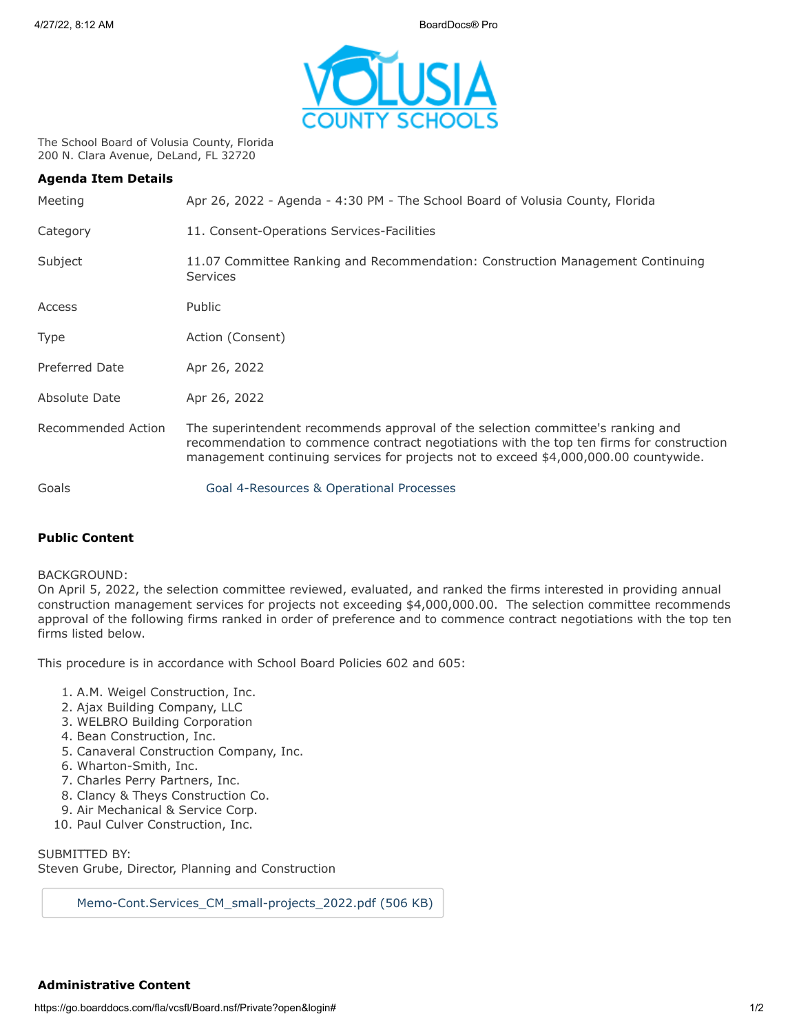

The School Board of Volusia County, Florida 200 N. Clara Avenue, DeLand, FL 32720

| <b>Agenda Item Details</b> |                                                                                                                                                                                                                                                                     |
|----------------------------|---------------------------------------------------------------------------------------------------------------------------------------------------------------------------------------------------------------------------------------------------------------------|
| Meeting                    | Apr 26, 2022 - Agenda - 4:30 PM - The School Board of Volusia County, Florida                                                                                                                                                                                       |
| Category                   | 11. Consent-Operations Services-Facilities                                                                                                                                                                                                                          |
| Subject                    | 11.07 Committee Ranking and Recommendation: Construction Management Continuing<br><b>Services</b>                                                                                                                                                                   |
| Access                     | Public                                                                                                                                                                                                                                                              |
| Type                       | Action (Consent)                                                                                                                                                                                                                                                    |
| Preferred Date             | Apr 26, 2022                                                                                                                                                                                                                                                        |
| Absolute Date              | Apr 26, 2022                                                                                                                                                                                                                                                        |
| Recommended Action         | The superintendent recommends approval of the selection committee's ranking and<br>recommendation to commence contract negotiations with the top ten firms for construction<br>management continuing services for projects not to exceed \$4,000,000.00 countywide. |
| Goals                      | Goal 4-Resources & Operational Processes                                                                                                                                                                                                                            |

## **Public Content**

## BACKGROUND:

On April 5, 2022, the selection committee reviewed, evaluated, and ranked the firms interested in providing annual construction management services for projects not exceeding \$4,000,000.00. The selection committee recommends approval of the following firms ranked in order of preference and to commence contract negotiations with the top ten firms listed below.

This procedure is in accordance with School Board Policies 602 and 605:

- 1. A.M. Weigel Construction, Inc.
- 2. Ajax Building Company, LLC
- 3. WELBRO Building Corporation
- 4. Bean Construction, Inc.
- 5. Canaveral Construction Company, Inc.
- 6. Wharton-Smith, Inc.
- 7. Charles Perry Partners, Inc.
- 8. Clancy & Theys Construction Co.
- 9. Air Mechanical & Service Corp.
- 10. Paul Culver Construction, Inc.

SUBMITTED BY: Steven Grube, Director, Planning and Construction

[Memo-Cont.Services\\_CM\\_small-projects\\_2022.pdf \(506 KB\)](https://go.boarddocs.com/fla/vcsfl/Board.nsf/files/CD9NRN6135C5/$file/Memo-Cont.Services_CM_small-projects_2022.pdf)